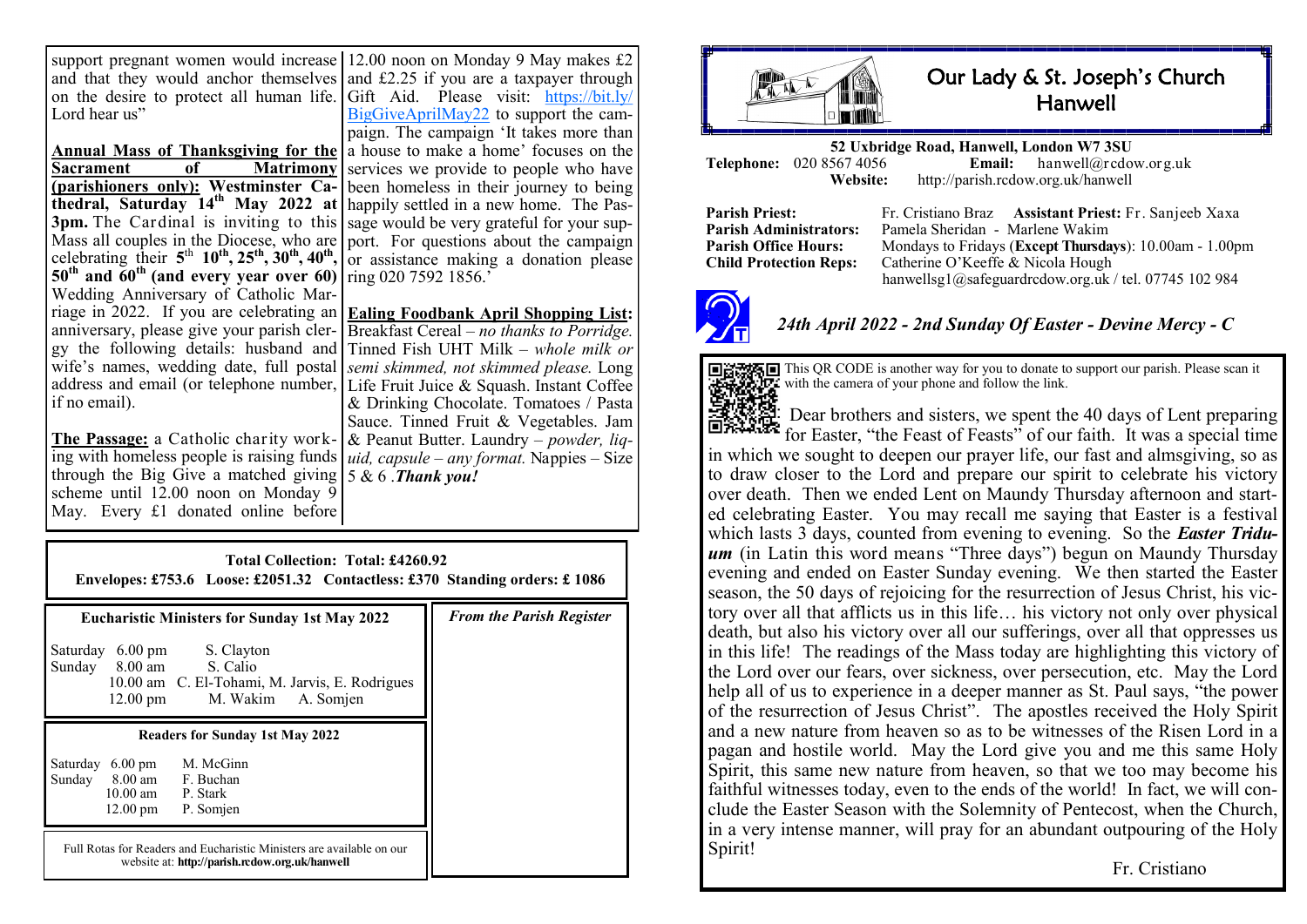support pregnant women would increase 12.00 noon on Monday 9 May makes £2 and that they would anchor themselves and £2.25 if you are a taxpayer through on the desire to protect all human life. Gift Aid. Please visit: [https://bit.ly/](https://bit.ly/BigGiveAprilMay22) Lord hear us"

**Annual Mass of Thanksgiving for the Sacrament of Matrimony (parishioners only): Westminster Cathedral, Saturday 14th May 2022 at 3pm.** The Cardinal is inviting to this sage would be very grateful for your sup-Mass all couples in the Diocese, who are celebrating their  $5<sup>th</sup> 10<sup>th</sup>$ ,  $25<sup>th</sup>$ ,  $30<sup>th</sup>$ ,  $40<sup>th</sup>$ ,  $\circ$  assistance making a donation please **50th and 60th (and every year over 60)** Wedding Anniversary of Catholic Marriage in 2022. If you are celebrating an **Ealing Foodbank April Shopping List:** anniversary, please give your parish clergy the following details: husband and wife's names, wedding date, full postal address and email (or telephone number, Life Fruit Juice & Squash. Instant Coffee if no email).

**The Passage:** a Catholic charity work-& Peanut Butter. Laundry – *powder, liq*ing with homeless people is raising funds *uid, capsule – any format.* Nappies – Size through the Big Give a matched giving 5 & 6 .*Thank you!*  scheme until 12.00 noon on Monday 9 May. Every £1 donated online before

[BigGiveAprilMay22](https://bit.ly/BigGiveAprilMay22) to support the campaign. The campaign 'It takes more than a house to make a home' focuses on the services we provide to people who have been homeless in their journey to being happily settled in a new home. The Pasport. For questions about the campaign ring 020 7592 1856.<sup>'</sup>

Breakfast Cereal – *no thanks to Porridge.*  Tinned Fish UHT Milk *– whole milk or semi skimmed, not skimmed please.* Long & Drinking Chocolate. Tomatoes / Pasta Sauce. Tinned Fruit & Vegetables. Jam

| Total Collection: Total: £4260.92<br>Envelopes: £753.6 Loose: £2051.32 Contactless: £370 Standing orders: £1086                                                                                       |                                 |  |  |
|-------------------------------------------------------------------------------------------------------------------------------------------------------------------------------------------------------|---------------------------------|--|--|
| <b>Eucharistic Ministers for Sunday 1st May 2022</b><br>6.00 pm S. Clayton<br>Saturday<br>8.00 am S. Calio<br>Sunday<br>10.00 am C. El-Tohami, M. Jarvis, E. Rodrigues<br>12.00 pm M. Wakim A. Somjen | <b>From the Parish Register</b> |  |  |
| <b>Readers for Sunday 1st May 2022</b><br>M. McGinn<br>Saturday 6.00 pm<br>Sunday 8.00 am F. Buchan<br>10.00 am P. Stark<br>$12.00 \text{ pm}$<br>P. Somjen                                           |                                 |  |  |
| Full Rotas for Readers and Eucharistic Ministers are available on our<br>website at: http://parish.rcdow.org.uk/hanwell                                                                               |                                 |  |  |



## Our Lady & St. Joseph's Church Hanwell

**52 Uxbridge Road, Hanwell, London W7 3SU Telephone:** 020 8567 4056 **Email:**<br>Website: http://parish.rcdo **Website:** http://parish.rcdow.org.uk/hanwell

**Parish Priest:** Fr. Cristiano Braz **Assistant Priest:** Fr. Sanjeeb Xaxa **Parish Administrators:** Pamela Sheridan - Marlene Wakim **Parish Office Hours:** Mondays to Fridays (**Except Thursdays**): 10.00am - 1.00pm Child Protection Reps: Catherine O'Keeffe & Nicola Hough Catherine O'Keeffe & Nicola Hough hanwellsg1@safeguardrcdow.org.uk / tel. 07745 102 984



## *24th April 2022 - 2nd Sunday Of Easter - Devine Mercy - C*



This QR CODE is another way for you to donate to support our parish. Please scan it with the camera of your phone and follow the link.

Dear brothers and sisters, we spent the 40 days of Lent preparing  $\blacksquare$  for Easter, "the Feast of Feasts" of our faith. It was a special time in which we sought to deepen our prayer life, our fast and almsgiving, so as to draw closer to the Lord and prepare our spirit to celebrate his victory over death. Then we ended Lent on Maundy Thursday afternoon and started celebrating Easter. You may recall me saying that Easter is a festival which lasts 3 days, counted from evening to evening. So the *Easter Triduum* (in Latin this word means "Three days") begun on Maundy Thursday evening and ended on Easter Sunday evening. We then started the Easter season, the 50 days of rejoicing for the resurrection of Jesus Christ, his victory over all that afflicts us in this life… his victory not only over physical death, but also his victory over all our sufferings, over all that oppresses us in this life! The readings of the Mass today are highlighting this victory of the Lord over our fears, over sickness, over persecution, etc. May the Lord help all of us to experience in a deeper manner as St. Paul says, "the power of the resurrection of Jesus Christ". The apostles received the Holy Spirit and a new nature from heaven so as to be witnesses of the Risen Lord in a pagan and hostile world. May the Lord give you and me this same Holy Spirit, this same new nature from heaven, so that we too may become his faithful witnesses today, even to the ends of the world! In fact, we will conclude the Easter Season with the Solemnity of Pentecost, when the Church, in a very intense manner, will pray for an abundant outpouring of the Holy Spirit!

Fr. Cristiano